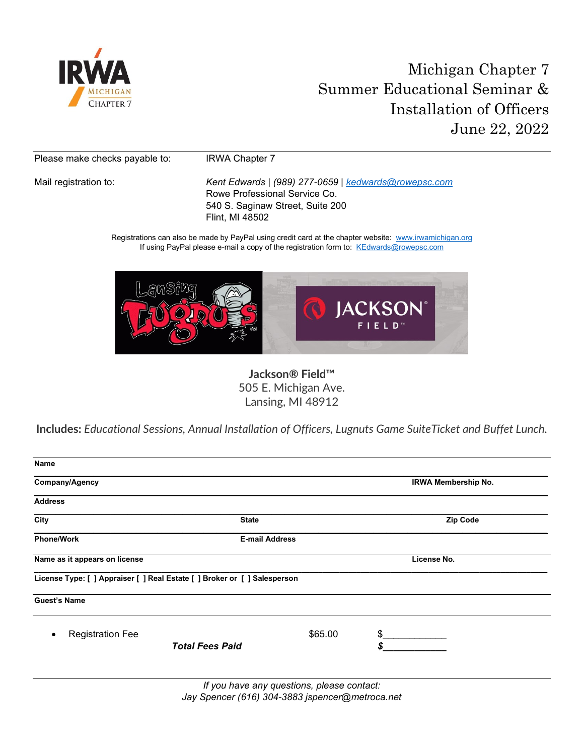

# Michigan Chapter 7 Summer Educational Seminar & Installation of Officers June 22, 2022

Please make checks payable to: IRWA Chapter 7

Mail registration to: *Kent Edwards* | *(989) 277-0659 | [kedwards@rowepsc.com](mailto:kedwards@rowepsc.com)* Rowe Professional Service Co. 540 S. Saginaw Street, Suite 200 Flint, MI 48502

> Registrations can also be made by PayPal using credit card at the chapter website: [www.irwamichigan.org](http://www.irwamichigan.org/) If using PayPal please e-mail a copy of the registration form to: [KEdwards@rowepsc.com](mailto:KEdwards@rowepsc.com)



**Jackson® Field™** 505 E. Michigan Ave. Lansing, MI 48912

**Includes:** *Educational Sessions, Annual Installation of Officers, Lugnuts Game SuiteTicket and Buffet Lunch.*

| <b>Name</b>                                                               |                                   |                            |
|---------------------------------------------------------------------------|-----------------------------------|----------------------------|
| Company/Agency                                                            |                                   | <b>IRWA Membership No.</b> |
| <b>Address</b>                                                            |                                   |                            |
| City                                                                      | <b>State</b>                      | <b>Zip Code</b>            |
| <b>Phone/Work</b>                                                         | <b>E-mail Address</b>             |                            |
| Name as it appears on license                                             |                                   | License No.                |
| License Type: [ ] Appraiser [ ] Real Estate [ ] Broker or [ ] Salesperson |                                   |                            |
| <b>Guest's Name</b>                                                       |                                   |                            |
| <b>Registration Fee</b>                                                   | \$65.00<br><b>Total Fees Paid</b> | \$<br>\$.                  |
|                                                                           |                                   |                            |

*If you have any questions, please contact: Jay Spencer (616) 304-3883 jspencer@metroca.net*